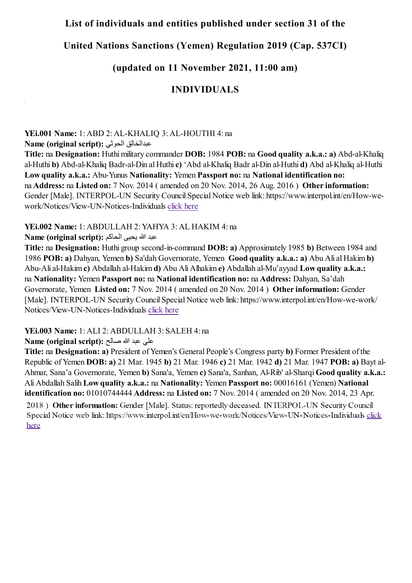#### **List of individuals and entities published under section 31 of the**

## **United Nations Sanctions (Yemen) Regulation 2019 (Cap. 537CI)**

# **(updated on 11 November 2021, 11:00 am)**

#### **INDIVIDUALS**

**YEi.001 Name:** 1: ABD 2: AL-KHALIQ 3: AL-HOUTHI 4: na

**Name (original script):** الحوثي عبدالخالق

**Title:** na **Designation:** Huthi military commander **DOB:** 1984 **POB:** na **Good quality a.k.a.: a)** Abd-al-Khaliq al-Huthi **b)** Abd-al-Khaliq Badr-al-Din al Huthi **c)** 'Abd al-Khaliq Badr al-Din al-Huthi **d)** Abd al-Khaliq al-Huthi **Low quality a.k.a.:** Abu-Yunus **Nationality:** Yemen **Passport no:** na **National identification no:** na **Address:** na **Listed on:** 7 Nov. 2014 ( amended on 20 Nov. 2014, 26 Aug. 2016 ) **Other information:** Gender [Male]. INTERPOL-UN Security Council Special Notice web link: https://www.interpol.int/en/How-wework/Notices/View-UN-Notices-Individuals [click here](https://www.interpol.int/en/How-we-work/Notices/View-UN-Notices-Individuals)

#### **YEi.002 Name:** 1: ABDULLAH 2: YAHYA 3: AL HAKIM 4: na

عبد الله یحیى الحاكم **:(script original (Name**

**Title:** na **Designation:** Huthi group second-in-command **DOB: a)** Approximately 1985 **b)** Between 1984 and 1986 **POB: a)** Dahyan, Yemen **b)** Sa'dah Governorate, Yemen **Good quality a.k.a.: a)** Abu Ali al Hakim **b)**  Abu-Ali al-Hakim **c)** Abdallah al-Hakim **d)** Abu Ali Alhakim **e)** Abdallah al-Mu'ayyad **Low quality a.k.a.:** na **Nationality:** Yemen **Passport no:** na **National identification no:** na **Address:** Dahyan, Sa'dah Governorate, Yemen **Listed on:** 7 Nov. 2014 ( amended on 20 Nov. 2014 ) **Other information:** Gender [Male]. INTERPOL-UN Security Council Special Notice web link: https://www.interpol.int/en/How-we-work/ Notices/View-UN-Notices-Individuals [click here](https://www.interpol.int/en/How-we-work/Notices/View-UN-Notices-Individuals)

#### **YEi.003 Name:** 1: ALI 2: ABDULLAH 3: SALEH 4: na

علي عبد الله صالح **:(script original (Name**

**Title:** na **Designation: a)** President of Yemen's General People's Congress party **b)** Former President of the Republic of Yemen **DOB: a)** 21 Mar. 1945 **b)** 21 Mar. 1946 **c)** 21 Mar. 1942 **d)** 21 Mar. 1947 **POB: a)** Bayt al-Ahmar, Sana'a Governorate, Yemen **b)** Sana'a, Yemen **c)** Sana'a, Sanhan, Al-Rib' al-Sharqi **Good quality a.k.a.:** Ali Abdallah Salih **Low quality a.k.a.:** na **Nationality:** Yemen **Passport no:** 00016161 (Yemen) **National identification no:** 01010744444 **Address:** na **Listed on:** 7 Nov. 2014 ( amended on 20 Nov. 2014, 23 Apr.2018) Other information: Gender [Male]. Status: reportedly deceased. INTERPOL-UN Security Council Special Notice web link: https://www.interpol.int/en/How-we-work/Notices/View-UN-Notices-Individuals click here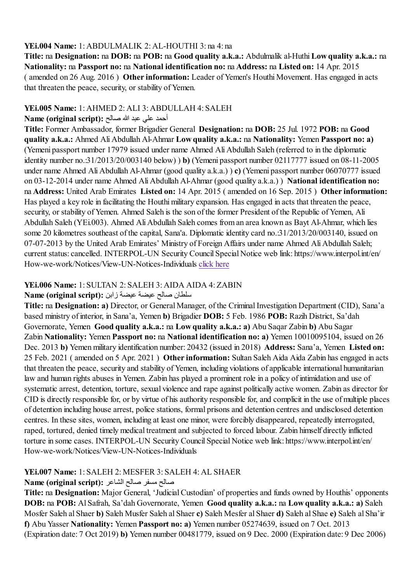#### **YEi.004 Name:** [1: ABDULMALIK 2: AL-HOUTHI 3: na 4: na](https://www.interpol.int/en/How-we-work/Notices/View-UN-Notices-Individuals)

**Title:** na **Designation:** na **DOB:** na **POB:** na **Good quality a.k.a.:** Abdulmalik al-Huthi**Low quality a.k.a.:** na **Nationality:** na **Passport no:** na **National identification no:** na **Address:** na **Listed on:** 14 Apr. 2015 ( amended on 26 Aug. 2016 ) **Other information:** Leader of Yemen's Houthi Movement. Has engaged in acts that threaten the peace, security, or stability of Yemen.

#### **YEi.005 Name:** 1: AHMED 2: ALI 3: ABDULLAH 4: SALEH

#### أحمد علي عبد الله صالح **:(script original (Name**

**Title:** Former Ambassador, former Brigadier General **Designation:** na **DOB:** 25 Jul. 1972 **POB:** na **Good quality a.k.a.:** Ahmed Ali Abdullah Al-Ahmar **Low quality a.k.a.:** na **Nationality:** Yemen **Passport no: a)** (Yemeni passport number 17979 issued under name Ahmed Ali Abdullah Saleh (referred to in the diplomatic identity number no.:31/2013/20/003140 below) ) **b)** (Yemeni passport number 02117777 issued on 08-11-2005 under name Ahmed Ali Abdullah Al-Ahmar (good quality a.k.a.) ) **c)** (Yemeni passport number 06070777 issued on 03-12-2014 under name Ahmed Ali Abdullah Al-Ahmar (good quality a.k.a.) ) **National identification no:** na **Address:** United Arab Emirates **Listed on:** 14 Apr. 2015 ( amended on 16 Sep. 2015 ) **Other information:** Has played a key role in facilitating the Houthi military expansion. Has engaged in acts that threaten the peace, security, or stability of Yemen. Ahmed Saleh is the son of the former President of the Republic of Yemen, Ali Abdullah Saleh (YEi.003). Ahmed Ali Abdullah Saleh comes from an area known as Bayt Al-Ahmar, which lies some 20 kilometres southeast of the capital, Sana'a. Diplomatic identity card no.:31/2013/20/003140, issued on 07-07-2013 by the United Arab Emirates' Ministry of Foreign Affairs under name Ahmed Ali Abdullah Saleh; current status: cancelled. INTERPOL-UN Security Council Special Notice web link: https://www.interpol.int/en/ How-we-work/Notices/View-UN-Notices-Individuals [click here](https://www.interpol.int/en/How-we-work/Notices/View-UN-Notices-Individuals)

## **YEi.006 Name:** 1: SULTAN 2: SALEH 3: AIDA AIDA 4: ZABIN

### سلطان صالح عیضة عیضة زابن **:(script original (Name**

**Title:** na **Designation: a)** Director, or General Manager, of the Criminal Investigation Department (CID), Sana'a based ministry of interior, in Sana'a, Yemen **b)** Brigadier **DOB:** 5 Feb. 1986 **POB:** Razih District, Sa'dah Governorate, Yemen **Good quality a.k.a.:** na **Low quality a.k.a.: a)** Abu Saqar Zabin **b)** Abu Sagar Zabin **Nationality:** Yemen **Passport no:** na **National identification no: a)** Yemen 10010095104, issued on 26 Dec. 2013 **b)** Yemen military identification number: 20432 (issued in 2018) **Address:** Sana'a, Yemen **Listed on:** 25 Feb. 2021 ( amended on 5 Apr. 2021 ) **Other information:** Sultan Saleh Aida Aida Zabin has engaged in acts that threaten the peace, security and stability of Yemen, including violations of applicable international humanitarian law and human rights abuses in Yemen. Zabin has played a prominent role in a policy of intimidation and use of systematic arrest, detention, torture, sexual violence and rape against politically active women. Zabin as director for CID is directly responsible for, or by virtue of his authority responsible for, and complicit in the use of multiple places of detention including house arrest, police stations, formal prisons and detention centres and undisclosed detention centres. In these sites, women, including at least one minor, were forcibly disappeared, repeatedly interrogated, raped, tortured, denied timely medical treatment and subjected to forced labour. Zabin himself directly inflicted torture in some cases. INTERPOL-UN Security Council Special Notice web link: https://www.interpol.int/en/ How-we-work/Notices/View-UN-Notices-Individuals

#### **YEi.007 Name:** 1: SALEH 2: MESFER 3: SALEH 4: AL SHAER

#### صالح مسفر صالح الشاعر **:(script original (Name**

**Title:** na **Designation:** Major General, 'Judicial Custodian' of properties and funds owned by Houthis' opponents **DOB:** na **POB:** Al Safrah, Sa'dah Governorate, Yemen **Good quality a.k.a.:** na **Low quality a.k.a.: a)** Saleh Mosfer Saleh al Shaer **b)** Saleh Musfer Saleh al Shaer **c)** Saleh Mesfer al Shaer **d)** Saleh al Shae **e)** Saleh al Sha'ir **f)** Abu Yasser **Nationality:** Yemen **Passport no: a)** Yemen number 05274639, issued on 7 Oct. 2013 (Expiration date: 7 Oct 2019) **b)** Yemen number 00481779, issued on 9 Dec. 2000 (Expiration date: 9 Dec 2006)